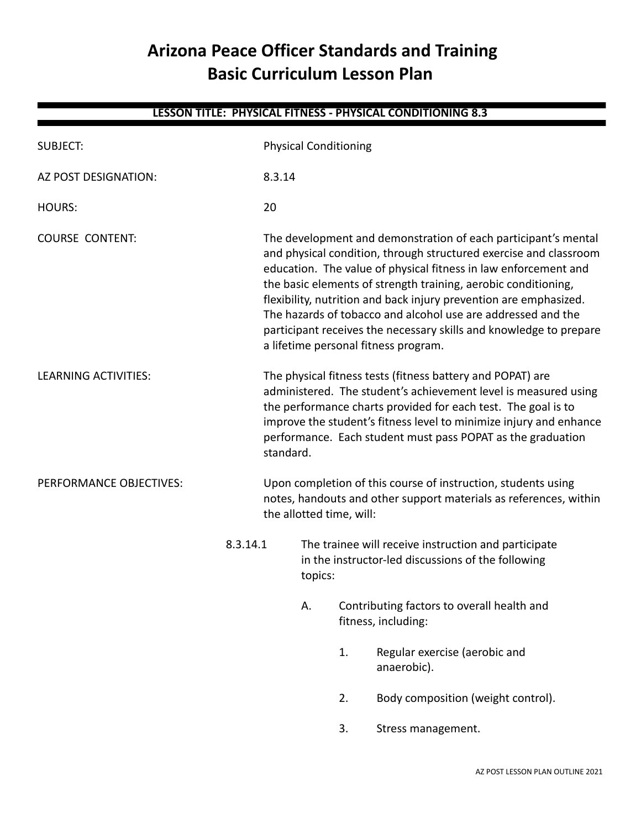# **Arizona Peace Officer Standards and Training Basic Curriculum Lesson Plan**

**LESSON TITLE: PHYSICAL FITNESS - PHYSICAL CONDITIONING 8.3**

# SUBJECT: Physical Conditioning AZ POST DESIGNATION: 8.3.14 HOURS: 20 COURSE CONTENT: The development and demonstration of each participant's mental and physical condition, through structured exercise and classroom education. The value of physical fitness in law enforcement and the basic elements of strength training, aerobic conditioning, flexibility, nutrition and back injury prevention are emphasized. The hazards of tobacco and alcohol use are addressed and the participant receives the necessary skills and knowledge to prepare a lifetime personal fitness program. LEARNING ACTIVITIES: The physical fitness tests (fitness battery and POPAT) are administered. The student's achievement level is measured using the performance charts provided for each test. The goal is to improve the student's fitness level to minimize injury and enhance performance. Each student must pass POPAT as the graduation standard. PERFORMANCE OBJECTIVES: Upon completion of this course of instruction, students using notes, handouts and other support materials as references, within the allotted time, will: 8.3.14.1 The trainee will receive instruction and participate in the instructor-led discussions of the following topics: A. Contributing factors to overall health and fitness, including: 1. Regular exercise (aerobic and anaerobic). 2. Body composition (weight control). 3. Stress management.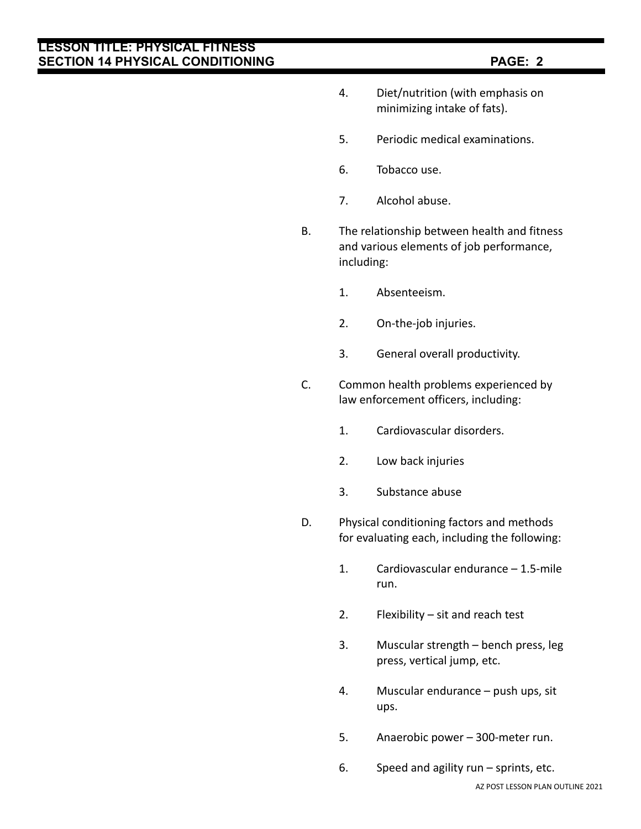- 4. Diet/nutrition (with emphasis on minimizing intake of fats).
- 5. Periodic medical examinations.
- 6. Tobacco use.
- 7. Alcohol abuse.
- B. The relationship between health and fitness and various elements of job performance, including:
	- 1. Absenteeism.
	- 2. On-the-job injuries.
	- 3. General overall productivity.
- C. Common health problems experienced by law enforcement officers, including:
	- 1. Cardiovascular disorders.
	- 2. Low back injuries
	- 3. Substance abuse
- D. Physical conditioning factors and methods for evaluating each, including the following:
	- 1. Cardiovascular endurance 1.5-mile run.
	- 2. Flexibility sit and reach test
	- 3. Muscular strength bench press, leg press, vertical jump, etc.
	- 4. Muscular endurance push ups, sit ups.
	- 5. Anaerobic power 300-meter run.
	- 6. Speed and agility run sprints, etc.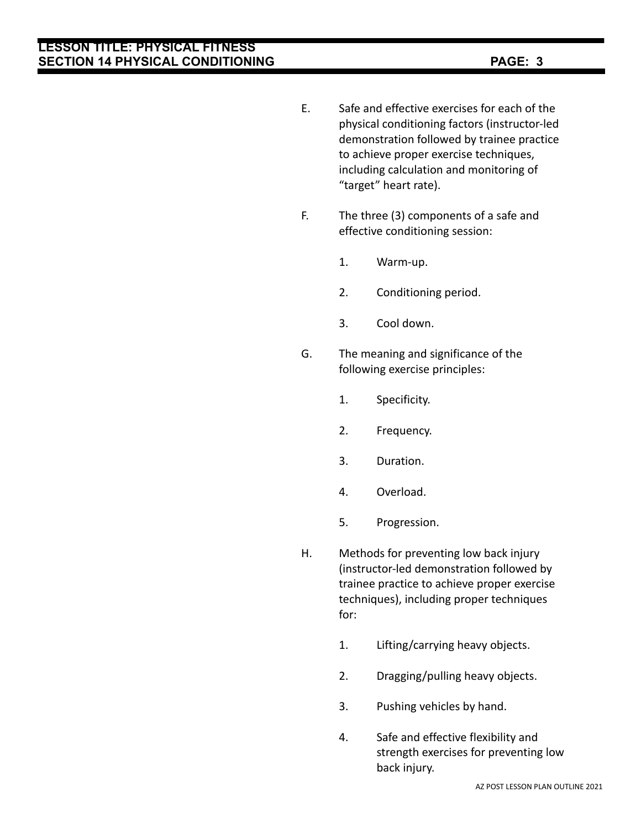- E. Safe and effective exercises for each of the physical conditioning factors (instructor-led demonstration followed by trainee practice to achieve proper exercise techniques, including calculation and monitoring of "target" heart rate).
- F. The three (3) components of a safe and effective conditioning session:
	- 1. Warm-up.
	- 2. Conditioning period.
	- 3. Cool down.
- G. The meaning and significance of the following exercise principles:
	- 1. Specificity.
	- 2. Frequency.
	- 3. Duration.
	- 4. Overload.
	- 5. Progression.
- H. Methods for preventing low back injury (instructor-led demonstration followed by trainee practice to achieve proper exercise techniques), including proper techniques for:
	- 1. Lifting/carrying heavy objects.
	- 2. Dragging/pulling heavy objects.
	- 3. Pushing vehicles by hand.
	- 4. Safe and effective flexibility and strength exercises for preventing low back injury.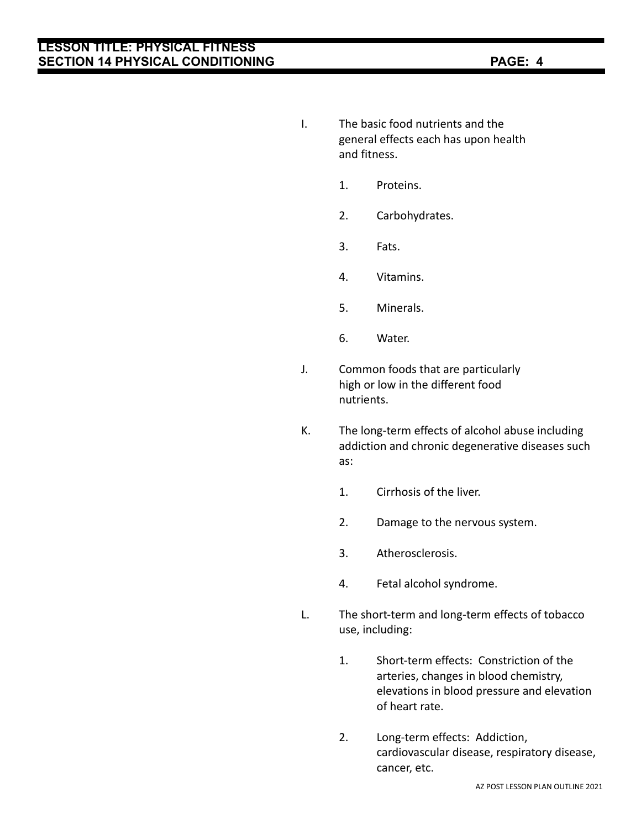- I. The basic food nutrients and the general effects each has upon health and fitness.
	- 1. Proteins.
	- 2. Carbohydrates.
	- 3. Fats.
	- 4. Vitamins.
	- 5. Minerals.
	- 6. Water.
- J. Common foods that are particularly high or low in the different food nutrients.
- K. The long-term effects of alcohol abuse including addiction and chronic degenerative diseases such as:
	- 1. Cirrhosis of the liver.
	- 2. Damage to the nervous system.
	- 3. Atherosclerosis.
	- 4. Fetal alcohol syndrome.
- L. The short-term and long-term effects of tobacco use, including:
	- 1. Short-term effects: Constriction of the arteries, changes in blood chemistry, elevations in blood pressure and elevation of heart rate.
	- 2. Long-term effects: Addiction, cardiovascular disease, respiratory disease, cancer, etc.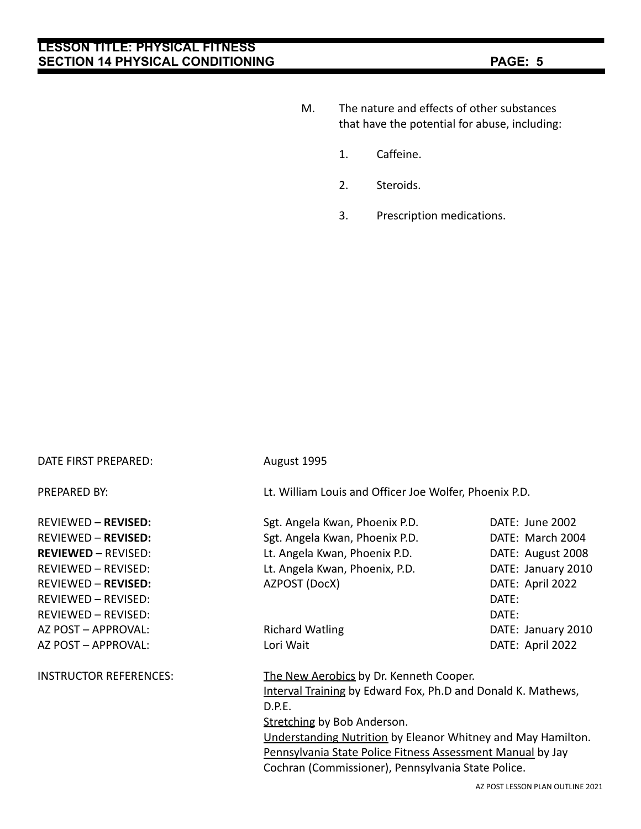- M. The nature and effects of other substances that have the potential for abuse, including:
	- 1. Caffeine.
	- 2. Steroids.
	- 3. Prescription medications.

| DATE FIRST PREPARED:          | August 1995                                                  |                                  |  |
|-------------------------------|--------------------------------------------------------------|----------------------------------|--|
| PREPARED BY:                  | Lt. William Louis and Officer Joe Wolfer, Phoenix P.D.       |                                  |  |
| <b>REVIEWED - REVISED:</b>    | Sgt. Angela Kwan, Phoenix P.D.                               | DATE: June 2002                  |  |
| <b>REVIEWED - REVISED:</b>    | Sgt. Angela Kwan, Phoenix P.D.                               | DATE: March 2004                 |  |
| <b>REVIEWED - REVISED:</b>    | Lt. Angela Kwan, Phoenix P.D.                                | DATE: August 2008                |  |
| <b>REVIEWED - REVISED:</b>    | Lt. Angela Kwan, Phoenix, P.D.                               | DATE: January 2010               |  |
| <b>REVIEWED - REVISED:</b>    | AZPOST (DocX)                                                | DATE: April 2022                 |  |
| <b>REVIEWED - REVISED:</b>    |                                                              | DATE:                            |  |
| REVIEWED - REVISED:           |                                                              | DATE:                            |  |
| AZ POST - APPROVAL:           | <b>Richard Watling</b>                                       | DATE: January 2010               |  |
| AZ POST - APPROVAL:           | Lori Wait                                                    | DATE: April 2022                 |  |
| <b>INSTRUCTOR REFERENCES:</b> | The New Aerobics by Dr. Kenneth Cooper.                      |                                  |  |
|                               | Interval Training by Edward Fox, Ph.D and Donald K. Mathews, |                                  |  |
|                               | D.P.E.                                                       |                                  |  |
|                               | Stretching by Bob Anderson.                                  |                                  |  |
|                               | Understanding Nutrition by Eleanor Whitney and May Hamilton. |                                  |  |
|                               | Pennsylvania State Police Fitness Assessment Manual by Jay   |                                  |  |
|                               | Cochran (Commissioner), Pennsylvania State Police.           |                                  |  |
|                               |                                                              | AZ POST LESSON PLAN OLITLINE 202 |  |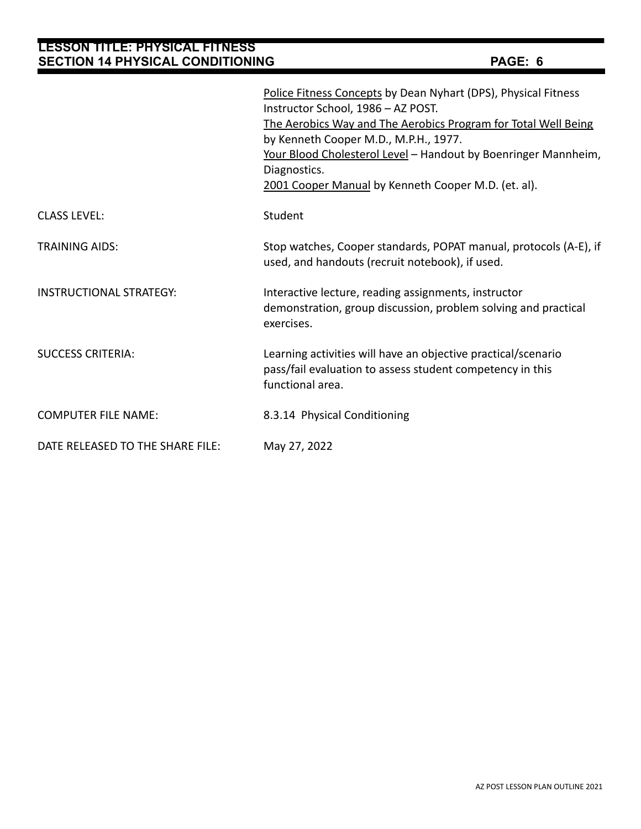|                                  | Police Fitness Concepts by Dean Nyhart (DPS), Physical Fitness<br>Instructor School, 1986 - AZ POST.<br>The Aerobics Way and The Aerobics Program for Total Well Being<br>by Kenneth Cooper M.D., M.P.H., 1977.<br>Your Blood Cholesterol Level - Handout by Boenringer Mannheim,<br>Diagnostics.<br>2001 Cooper Manual by Kenneth Cooper M.D. (et. al). |
|----------------------------------|----------------------------------------------------------------------------------------------------------------------------------------------------------------------------------------------------------------------------------------------------------------------------------------------------------------------------------------------------------|
| <b>CLASS LEVEL:</b>              | Student                                                                                                                                                                                                                                                                                                                                                  |
| <b>TRAINING AIDS:</b>            | Stop watches, Cooper standards, POPAT manual, protocols (A-E), if<br>used, and handouts (recruit notebook), if used.                                                                                                                                                                                                                                     |
| <b>INSTRUCTIONAL STRATEGY:</b>   | Interactive lecture, reading assignments, instructor<br>demonstration, group discussion, problem solving and practical<br>exercises.                                                                                                                                                                                                                     |
| <b>SUCCESS CRITERIA:</b>         | Learning activities will have an objective practical/scenario<br>pass/fail evaluation to assess student competency in this<br>functional area.                                                                                                                                                                                                           |
| <b>COMPUTER FILE NAME:</b>       | 8.3.14 Physical Conditioning                                                                                                                                                                                                                                                                                                                             |
| DATE RELEASED TO THE SHARE FILE: | May 27, 2022                                                                                                                                                                                                                                                                                                                                             |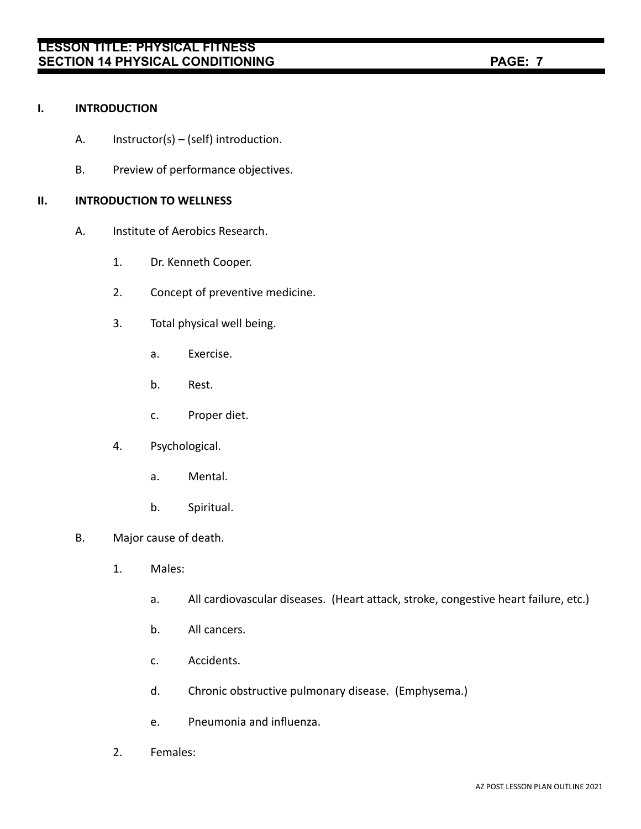#### **I. INTRODUCTION**

- A. Instructor(s) (self) introduction.
- B. Preview of performance objectives.

### **II. INTRODUCTION TO WELLNESS**

- A. Institute of Aerobics Research.
	- 1. Dr. Kenneth Cooper.
	- 2. Concept of preventive medicine.
	- 3. Total physical well being.
		- a. Exercise.
		- b. Rest.
		- c. Proper diet.
	- 4. Psychological.
		- a. Mental.
		- b. Spiritual.
- B. Major cause of death.
	- 1. Males:
		- a. All cardiovascular diseases. (Heart attack, stroke, congestive heart failure, etc.)
		- b. All cancers.
		- c. Accidents.
		- d. Chronic obstructive pulmonary disease. (Emphysema.)
		- e. Pneumonia and influenza.
	- 2. Females: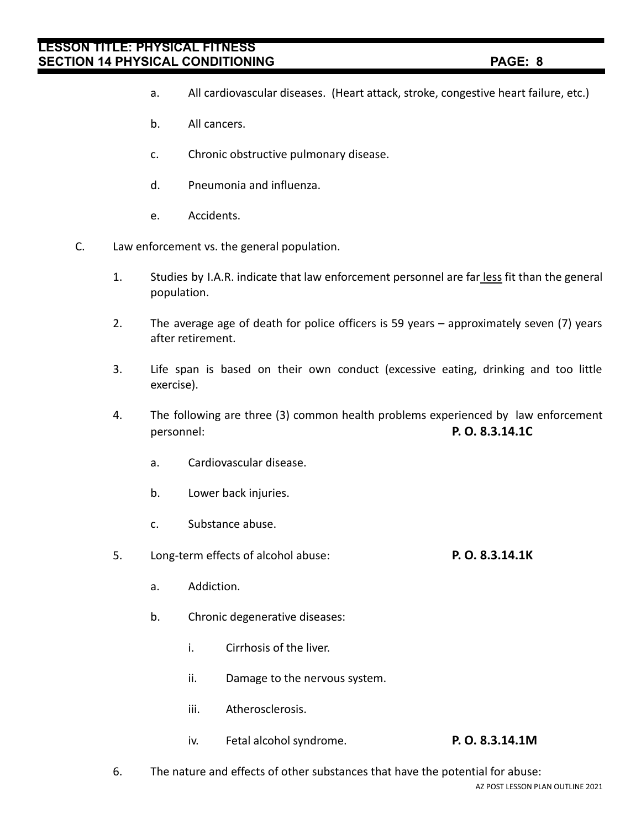- a. All cardiovascular diseases. (Heart attack, stroke, congestive heart failure, etc.)
- b. All cancers.
- c. Chronic obstructive pulmonary disease.
- d. Pneumonia and influenza.
- e. Accidents.
- C. Law enforcement vs. the general population.
	- 1. Studies by I.A.R. indicate that law enforcement personnel are far less fit than the general population.
	- 2. The average age of death for police officers is 59 years approximately seven (7) years after retirement.
	- 3. Life span is based on their own conduct (excessive eating, drinking and too little exercise).
	- 4. The following are three (3) common health problems experienced by law enforcement personnel: **P. O. 8.3.14.1C**
		- a. Cardiovascular disease.
		- b. Lower back injuries.
		- c. Substance abuse.
	- 5. Long-term effects of alcohol abuse: **P. O. 8.3.14.1K**
		- a. Addiction.
		- b. Chronic degenerative diseases:
			- i. Cirrhosis of the liver.
			- ii. Damage to the nervous system.
			- iii. Atherosclerosis.
			- iv. Fetal alcohol syndrome. **P. O. 8.3.14.1M**
	- 6. The nature and effects of other substances that have the potential for abuse: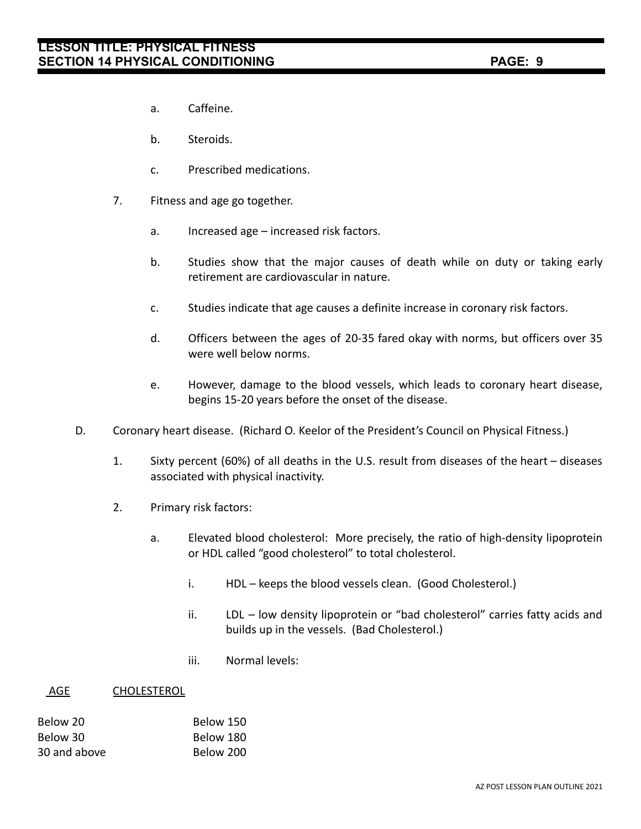- a. Caffeine.
- b. Steroids.
- c. Prescribed medications.
- 7. Fitness and age go together.
	- a. Increased age increased risk factors.
	- b. Studies show that the major causes of death while on duty or taking early retirement are cardiovascular in nature.
	- c. Studies indicate that age causes a definite increase in coronary risk factors.
	- d. Officers between the ages of 20-35 fared okay with norms, but officers over 35 were well below norms.
	- e. However, damage to the blood vessels, which leads to coronary heart disease, begins 15-20 years before the onset of the disease.
- D. Coronary heart disease. (Richard O. Keelor of the President's Council on Physical Fitness.)
	- 1. Sixty percent (60%) of all deaths in the U.S. result from diseases of the heart diseases associated with physical inactivity.
	- 2. Primary risk factors:
		- a. Elevated blood cholesterol: More precisely, the ratio of high-density lipoprotein or HDL called "good cholesterol" to total cholesterol.
			- i. HDL keeps the blood vessels clean. (Good Cholesterol.)
			- ii. LDL low density lipoprotein or "bad cholesterol" carries fatty acids and builds up in the vessels. (Bad Cholesterol.)
			- iii. Normal levels:

#### AGE CHOLESTEROL

| Below 20     | Below 150 |
|--------------|-----------|
| Below 30     | Below 180 |
| 30 and above | Below 200 |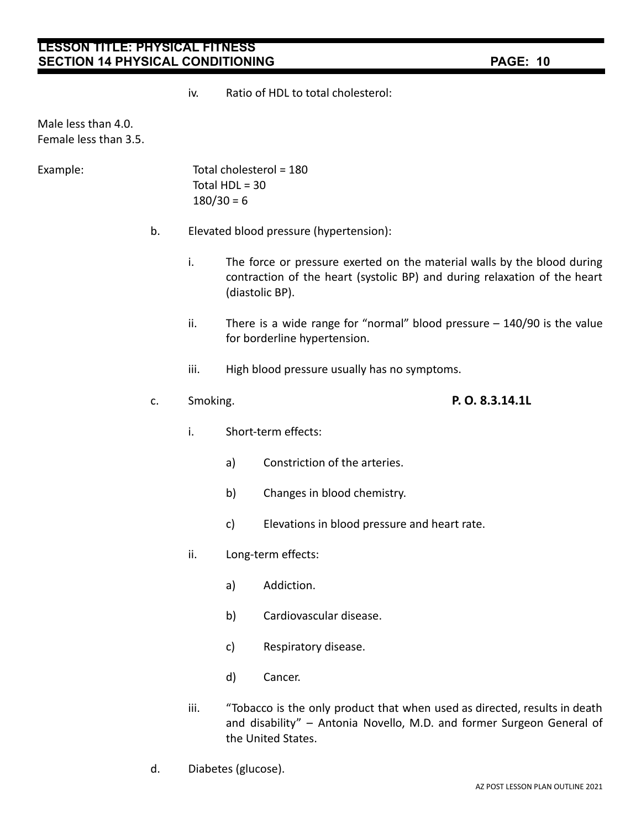iv. Ratio of HDL to total cholesterol:

Male less than 4.0. Female less than 3.5.

Example: Total cholesterol = 180 Total  $HDL = 30$  $180/30 = 6$ 

- b. Elevated blood pressure (hypertension):
	- i. The force or pressure exerted on the material walls by the blood during contraction of the heart (systolic BP) and during relaxation of the heart (diastolic BP).
	- ii. There is a wide range for "normal" blood pressure 140/90 is the value for borderline hypertension.
	- iii. High blood pressure usually has no symptoms.

### c. Smoking. **P. O. 8.3.14.1L**

- i. Short-term effects:
	- a) Constriction of the arteries.
	- b) Changes in blood chemistry.
	- c) Elevations in blood pressure and heart rate.
- ii. Long-term effects:
	- a) Addiction.
	- b) Cardiovascular disease.
	- c) Respiratory disease.
	- d) Cancer.
- iii. "Tobacco is the only product that when used as directed, results in death and disability" – Antonia Novello, M.D. and former Surgeon General of the United States.
- d. Diabetes (glucose).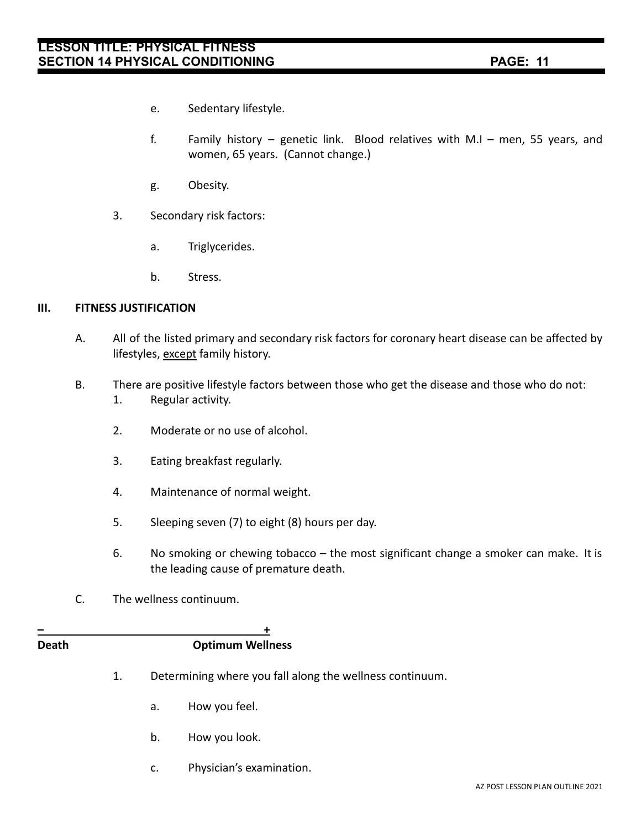- e. Sedentary lifestyle.
- f. Family history genetic link. Blood relatives with M.I men, 55 years, and women, 65 years. (Cannot change.)
- g. Obesity.
- 3. Secondary risk factors:
	- a. Triglycerides.
	- b. Stress.

### **III. FITNESS JUSTIFICATION**

- A. All of the listed primary and secondary risk factors for coronary heart disease can be affected by lifestyles, except family history.
- B. There are positive lifestyle factors between those who get the disease and those who do not: 1. Regular activity.
	- 2. Moderate or no use of alcohol.
	- 3. Eating breakfast regularly.
	- 4. Maintenance of normal weight.
	- 5. Sleeping seven (7) to eight (8) hours per day.
	- 6. No smoking or chewing tobacco the most significant change a smoker can make. It is the leading cause of premature death.
- C. The wellness continuum.

#### **– + Death Optimum Wellness**

- 
- 1. Determining where you fall along the wellness continuum.
	- a. How you feel.
	- b. How you look.
	- c. Physician's examination.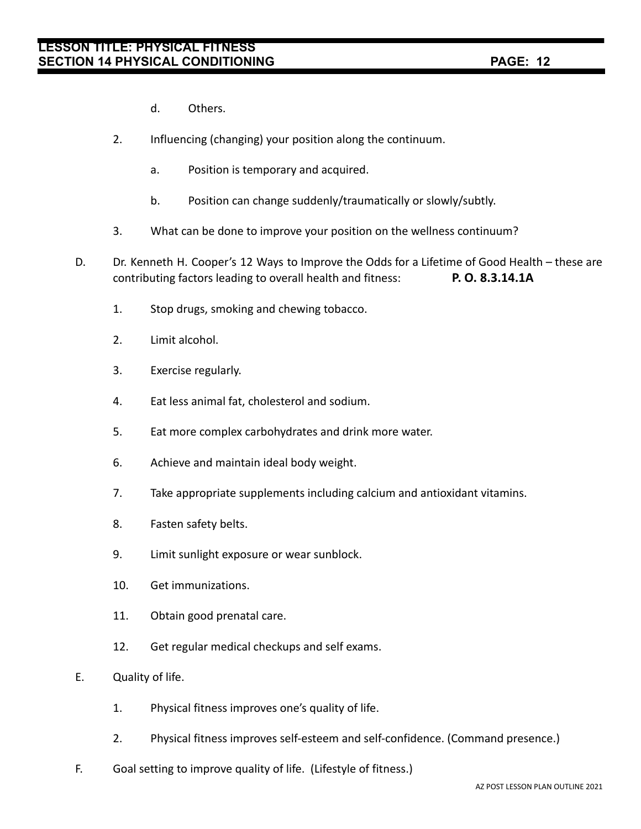- d. Others.
- 2. Influencing (changing) your position along the continuum.
	- a. Position is temporary and acquired.
	- b. Position can change suddenly/traumatically or slowly/subtly.
- 3. What can be done to improve your position on the wellness continuum?
- D. Dr. Kenneth H. Cooper's 12 Ways to Improve the Odds for a Lifetime of Good Health these are contributing factors leading to overall health and fitness: **P. O. 8.3.14.1A**
	- 1. Stop drugs, smoking and chewing tobacco.
	- 2. Limit alcohol.
	- 3. Exercise regularly.
	- 4. Eat less animal fat, cholesterol and sodium.
	- 5. Eat more complex carbohydrates and drink more water.
	- 6. Achieve and maintain ideal body weight.
	- 7. Take appropriate supplements including calcium and antioxidant vitamins.
	- 8. Fasten safety belts.
	- 9. Limit sunlight exposure or wear sunblock.
	- 10. Get immunizations.
	- 11. Obtain good prenatal care.
	- 12. Get regular medical checkups and self exams.
- E. Quality of life.
	- 1. Physical fitness improves one's quality of life.
	- 2. Physical fitness improves self-esteem and self-confidence. (Command presence.)
- F. Goal setting to improve quality of life. (Lifestyle of fitness.)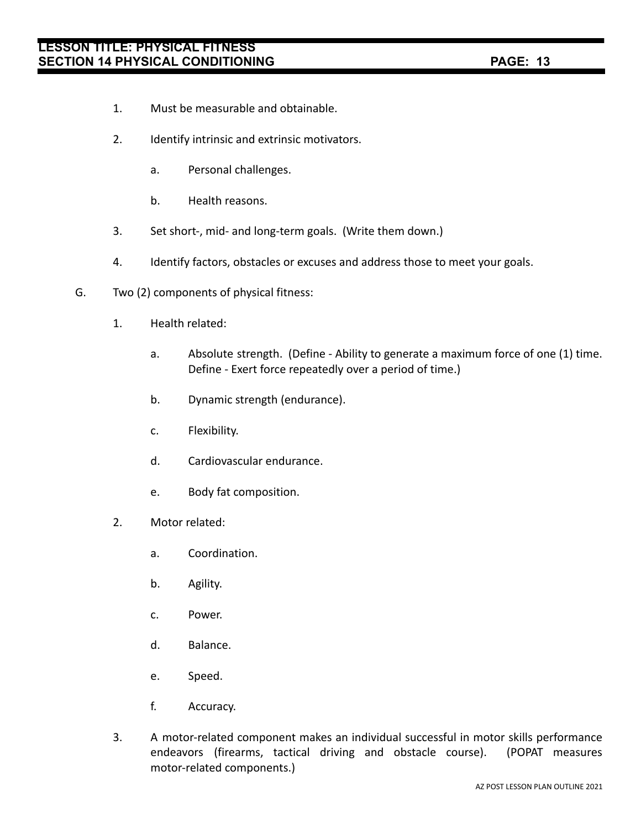- 1. Must be measurable and obtainable.
- 2. Identify intrinsic and extrinsic motivators.
	- a. Personal challenges.
	- b. Health reasons.
- 3. Set short-, mid- and long-term goals. (Write them down.)
- 4. Identify factors, obstacles or excuses and address those to meet your goals.
- G. Two (2) components of physical fitness:
	- 1. Health related:
		- a. Absolute strength. (Define Ability to generate a maximum force of one (1) time. Define - Exert force repeatedly over a period of time.)
		- b. Dynamic strength (endurance).
		- c. Flexibility.
		- d. Cardiovascular endurance.
		- e. Body fat composition.
	- 2. Motor related:
		- a. Coordination.
		- b. Agility.
		- c. Power.
		- d. Balance.
		- e. Speed.
		- f. Accuracy.
	- 3. A motor-related component makes an individual successful in motor skills performance endeavors (firearms, tactical driving and obstacle course). (POPAT measures motor-related components.)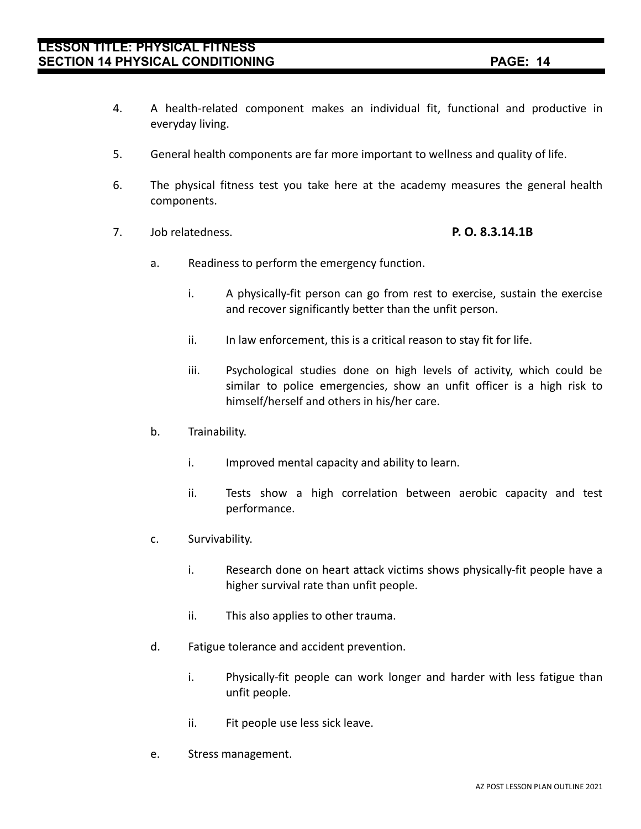- 4. A health-related component makes an individual fit, functional and productive in everyday living.
- 5. General health components are far more important to wellness and quality of life.
- 6. The physical fitness test you take here at the academy measures the general health components.
- 7. Job relatedness. **P. O. 8.3.14.1B**

- a. Readiness to perform the emergency function.
	- i. A physically-fit person can go from rest to exercise, sustain the exercise and recover significantly better than the unfit person.
	- ii. In law enforcement, this is a critical reason to stay fit for life.
	- iii. Psychological studies done on high levels of activity, which could be similar to police emergencies, show an unfit officer is a high risk to himself/herself and others in his/her care.
- b. Trainability.
	- i. Improved mental capacity and ability to learn.
	- ii. Tests show a high correlation between aerobic capacity and test performance.
- c. Survivability.
	- i. Research done on heart attack victims shows physically-fit people have a higher survival rate than unfit people.
	- ii. This also applies to other trauma.
- d. Fatigue tolerance and accident prevention.
	- i. Physically-fit people can work longer and harder with less fatigue than unfit people.
	- ii. Fit people use less sick leave.
- e. Stress management.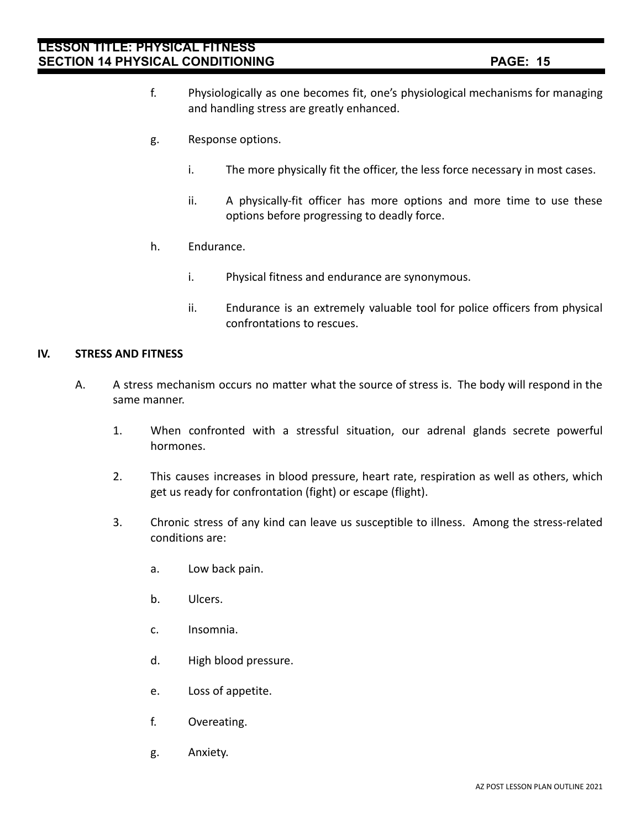- f. Physiologically as one becomes fit, one's physiological mechanisms for managing and handling stress are greatly enhanced.
- g. Response options.
	- i. The more physically fit the officer, the less force necessary in most cases.
	- ii. A physically-fit officer has more options and more time to use these options before progressing to deadly force.
- h. Endurance.
	- i. Physical fitness and endurance are synonymous.
	- ii. Endurance is an extremely valuable tool for police officers from physical confrontations to rescues.

#### **IV. STRESS AND FITNESS**

- A. A stress mechanism occurs no matter what the source of stress is. The body will respond in the same manner.
	- 1. When confronted with a stressful situation, our adrenal glands secrete powerful hormones.
	- 2. This causes increases in blood pressure, heart rate, respiration as well as others, which get us ready for confrontation (fight) or escape (flight).
	- 3. Chronic stress of any kind can leave us susceptible to illness. Among the stress-related conditions are:
		- a. Low back pain.
		- b. Ulcers.
		- c. Insomnia.
		- d. High blood pressure.
		- e. Loss of appetite.
		- f. Overeating.
		- g. Anxiety.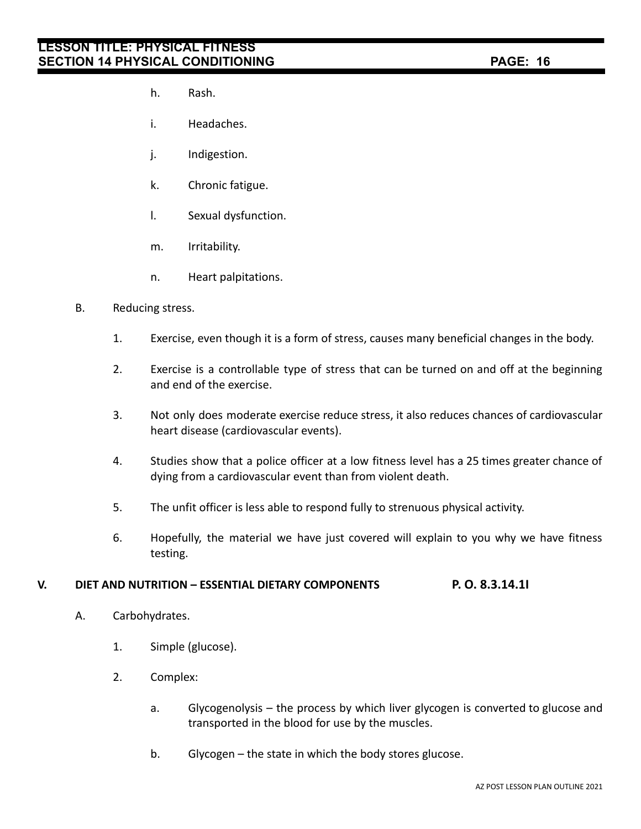- h. Rash.
- i. Headaches.
- j. Indigestion.
- k. Chronic fatigue.
- l. Sexual dysfunction.
- m. Irritability.
- n. Heart palpitations.

#### B. Reducing stress.

- 1. Exercise, even though it is a form of stress, causes many beneficial changes in the body.
- 2. Exercise is a controllable type of stress that can be turned on and off at the beginning and end of the exercise.
- 3. Not only does moderate exercise reduce stress, it also reduces chances of cardiovascular heart disease (cardiovascular events).
- 4. Studies show that a police officer at a low fitness level has a 25 times greater chance of dying from a cardiovascular event than from violent death.
- 5. The unfit officer is less able to respond fully to strenuous physical activity.
- 6. Hopefully, the material we have just covered will explain to you why we have fitness testing.

### **V. DIET AND NUTRITION – ESSENTIAL DIETARY COMPONENTS P. O. 8.3.14.1I**

- A. Carbohydrates.
	- 1. Simple (glucose).
	- 2. Complex:
		- a. Glycogenolysis the process by which liver glycogen is converted to glucose and transported in the blood for use by the muscles.
		- b. Glycogen the state in which the body stores glucose.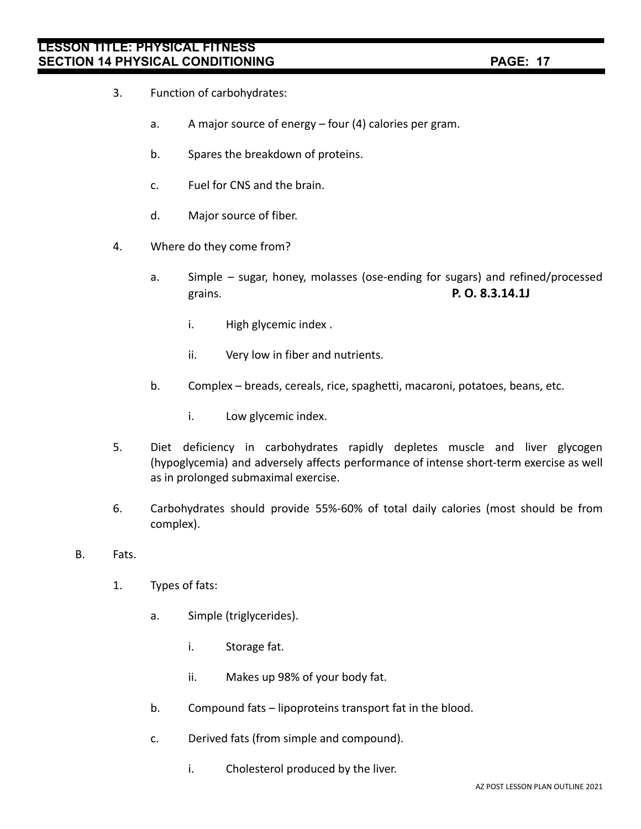- 3. Function of carbohydrates:
	- a. A major source of energy four (4) calories per gram.
	- b. Spares the breakdown of proteins.
	- c. Fuel for CNS and the brain.
	- d. Major source of fiber.
- 4. Where do they come from?
	- a. Simple sugar, honey, molasses (ose-ending for sugars) and refined/processed grains. **P. O. 8.3.14.1J**
		- i. High glycemic index .
		- ii. Very low in fiber and nutrients.
	- b. Complex breads, cereals, rice, spaghetti, macaroni, potatoes, beans, etc.
		- i. Low glycemic index.
- 5. Diet deficiency in carbohydrates rapidly depletes muscle and liver glycogen (hypoglycemia) and adversely affects performance of intense short-term exercise as well as in prolonged submaximal exercise.
- 6. Carbohydrates should provide 55%-60% of total daily calories (most should be from complex).
- B. Fats.
	- 1. Types of fats:
		- a. Simple (triglycerides).
			- i. Storage fat.
			- ii. Makes up 98% of your body fat.
		- b. Compound fats lipoproteins transport fat in the blood.
		- c. Derived fats (from simple and compound).
			- i. Cholesterol produced by the liver.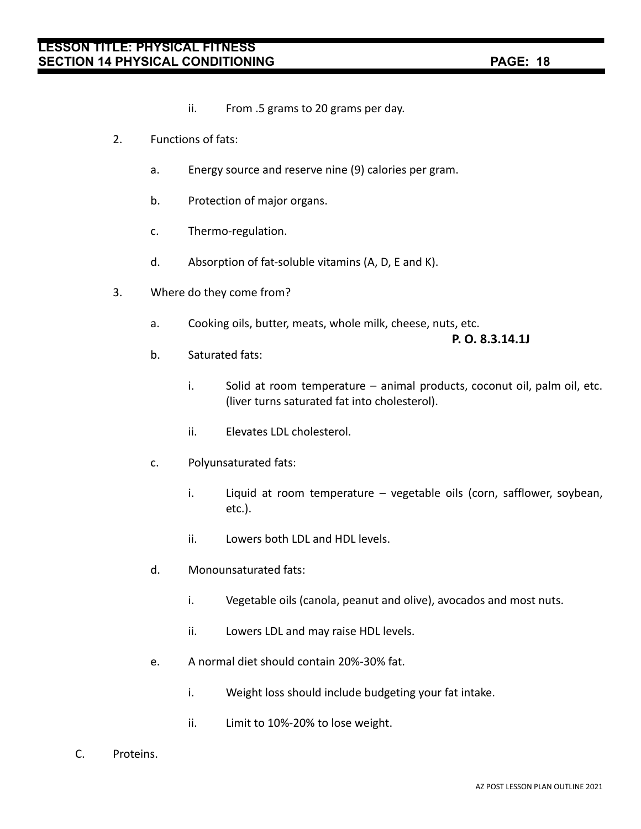- ii. From .5 grams to 20 grams per day.
- 2. Functions of fats:
	- a. Energy source and reserve nine (9) calories per gram.
	- b. Protection of major organs.
	- c. Thermo-regulation.
	- d. Absorption of fat-soluble vitamins (A, D, E and K).
- 3. Where do they come from?
	- a. Cooking oils, butter, meats, whole milk, cheese, nuts, etc.

**P. O. 8.3.14.1J**

- b. Saturated fats:
	- i. Solid at room temperature animal products, coconut oil, palm oil, etc. (liver turns saturated fat into cholesterol).
	- ii. Elevates LDL cholesterol.
- c. Polyunsaturated fats:
	- i. Liquid at room temperature vegetable oils (corn, safflower, soybean, etc.).
	- ii. Lowers both LDL and HDL levels.
- d. Monounsaturated fats:
	- i. Vegetable oils (canola, peanut and olive), avocados and most nuts.
	- ii. Lowers LDL and may raise HDL levels.
- e. A normal diet should contain 20%-30% fat.
	- i. Weight loss should include budgeting your fat intake.
	- ii. Limit to 10%-20% to lose weight.
- C. Proteins.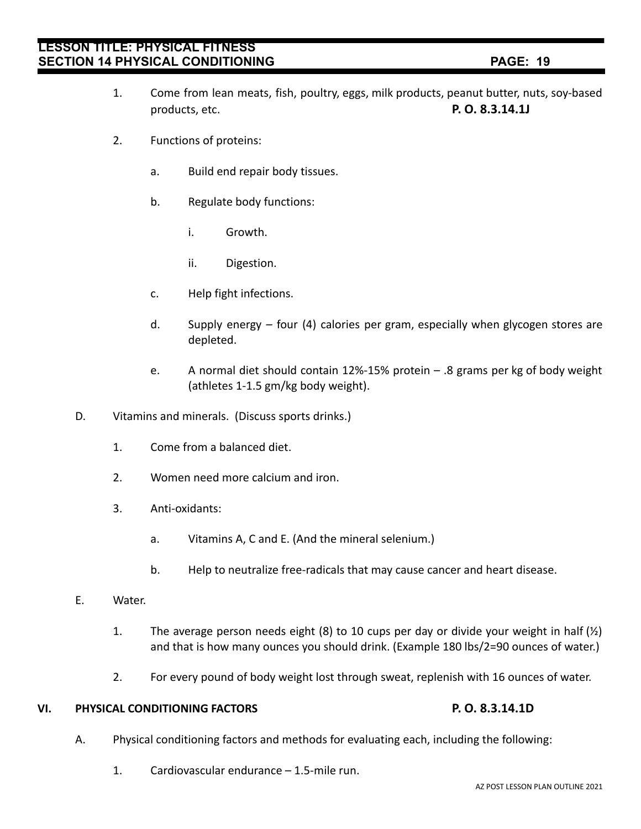- 1. Come from lean meats, fish, poultry, eggs, milk products, peanut butter, nuts, soy-based products, etc. **P. O. 8.3.14.1J**
- 2. Functions of proteins:
	- a. Build end repair body tissues.
	- b. Regulate body functions:
		- i. Growth.
		- ii. Digestion.
	- c. Help fight infections.
	- d. Supply energy four (4) calories per gram, especially when glycogen stores are depleted.
	- e. A normal diet should contain 12%-15% protein .8 grams per kg of body weight (athletes 1-1.5 gm/kg body weight).
- D. Vitamins and minerals. (Discuss sports drinks.)
	- 1. Come from a balanced diet.
	- 2. Women need more calcium and iron.
	- 3. Anti-oxidants:
		- a. Vitamins A, C and E. (And the mineral selenium.)
		- b. Help to neutralize free-radicals that may cause cancer and heart disease.
- E. Water.
	- 1. The average person needs eight (8) to 10 cups per day or divide your weight in half  $(\frac{1}{2})$ and that is how many ounces you should drink. (Example 180 lbs/2=90 ounces of water.)
	- 2. For every pound of body weight lost through sweat, replenish with 16 ounces of water.

### **VI. PHYSICAL CONDITIONING FACTORS P. O. 8.3.14.1D**

- A. Physical conditioning factors and methods for evaluating each, including the following:
	- 1. Cardiovascular endurance 1.5-mile run.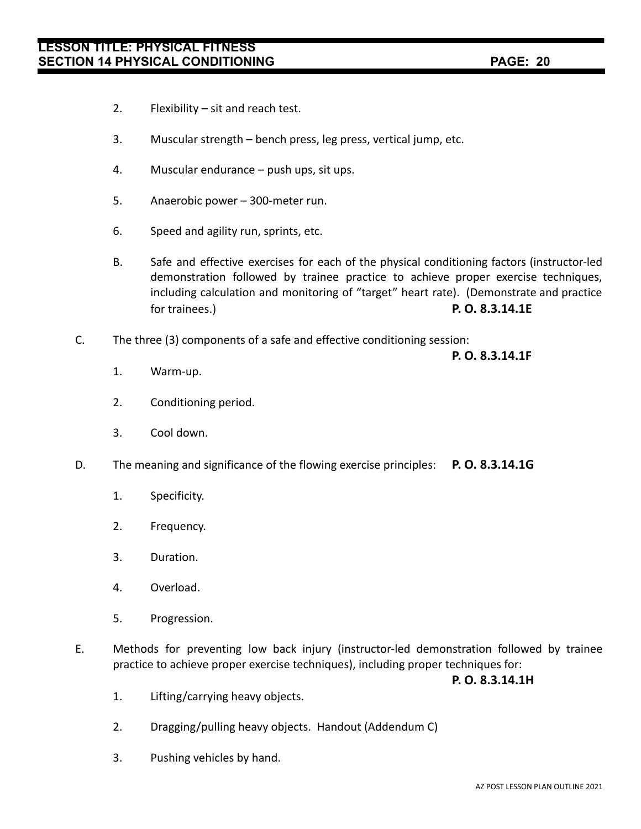- 2. Flexibility sit and reach test.
- 3. Muscular strength bench press, leg press, vertical jump, etc.
- 4. Muscular endurance push ups, sit ups.
- 5. Anaerobic power 300-meter run.
- 6. Speed and agility run, sprints, etc.
- B. Safe and effective exercises for each of the physical conditioning factors (instructor-led demonstration followed by trainee practice to achieve proper exercise techniques, including calculation and monitoring of "target" heart rate). (Demonstrate and practice for trainees.) **P. O. 8.3.14.1E**
- C. The three (3) components of a safe and effective conditioning session:

**P. O. 8.3.14.1F**

- 1. Warm-up.
- 2. Conditioning period.
- 3. Cool down.
- D. The meaning and significance of the flowing exercise principles: **P. O. 8.3.14.1G**
	- 1. Specificity.
	- 2. Frequency.
	- 3. Duration.
	- 4. Overload.
	- 5. Progression.
- E. Methods for preventing low back injury (instructor-led demonstration followed by trainee practice to achieve proper exercise techniques), including proper techniques for:

**P. O. 8.3.14.1H**

- 1. Lifting/carrying heavy objects.
- 2. Dragging/pulling heavy objects. Handout (Addendum C)
- 3. Pushing vehicles by hand.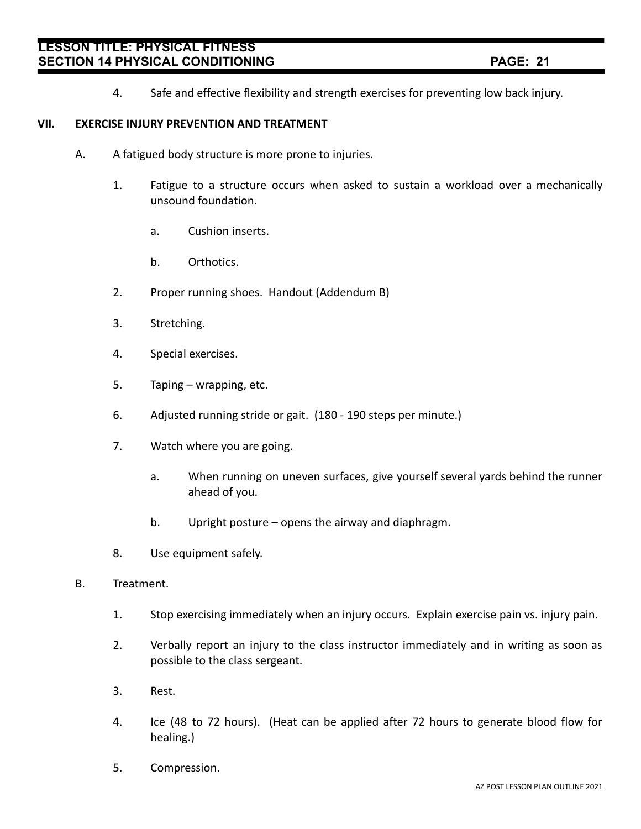4. Safe and effective flexibility and strength exercises for preventing low back injury.

### **VII. EXERCISE INJURY PREVENTION AND TREATMENT**

- A. A fatigued body structure is more prone to injuries.
	- 1. Fatigue to a structure occurs when asked to sustain a workload over a mechanically unsound foundation.
		- a. Cushion inserts.
		- b. Orthotics.
	- 2. Proper running shoes. Handout (Addendum B)
	- 3. Stretching.
	- 4. Special exercises.
	- 5. Taping wrapping, etc.
	- 6. Adjusted running stride or gait. (180 190 steps per minute.)
	- 7. Watch where you are going.
		- a. When running on uneven surfaces, give yourself several yards behind the runner ahead of you.
		- b. Upright posture opens the airway and diaphragm.
	- 8. Use equipment safely.
- B. Treatment.
	- 1. Stop exercising immediately when an injury occurs. Explain exercise pain vs. injury pain.
	- 2. Verbally report an injury to the class instructor immediately and in writing as soon as possible to the class sergeant.
	- 3. Rest.
	- 4. Ice (48 to 72 hours). (Heat can be applied after 72 hours to generate blood flow for healing.)
	- 5. Compression.